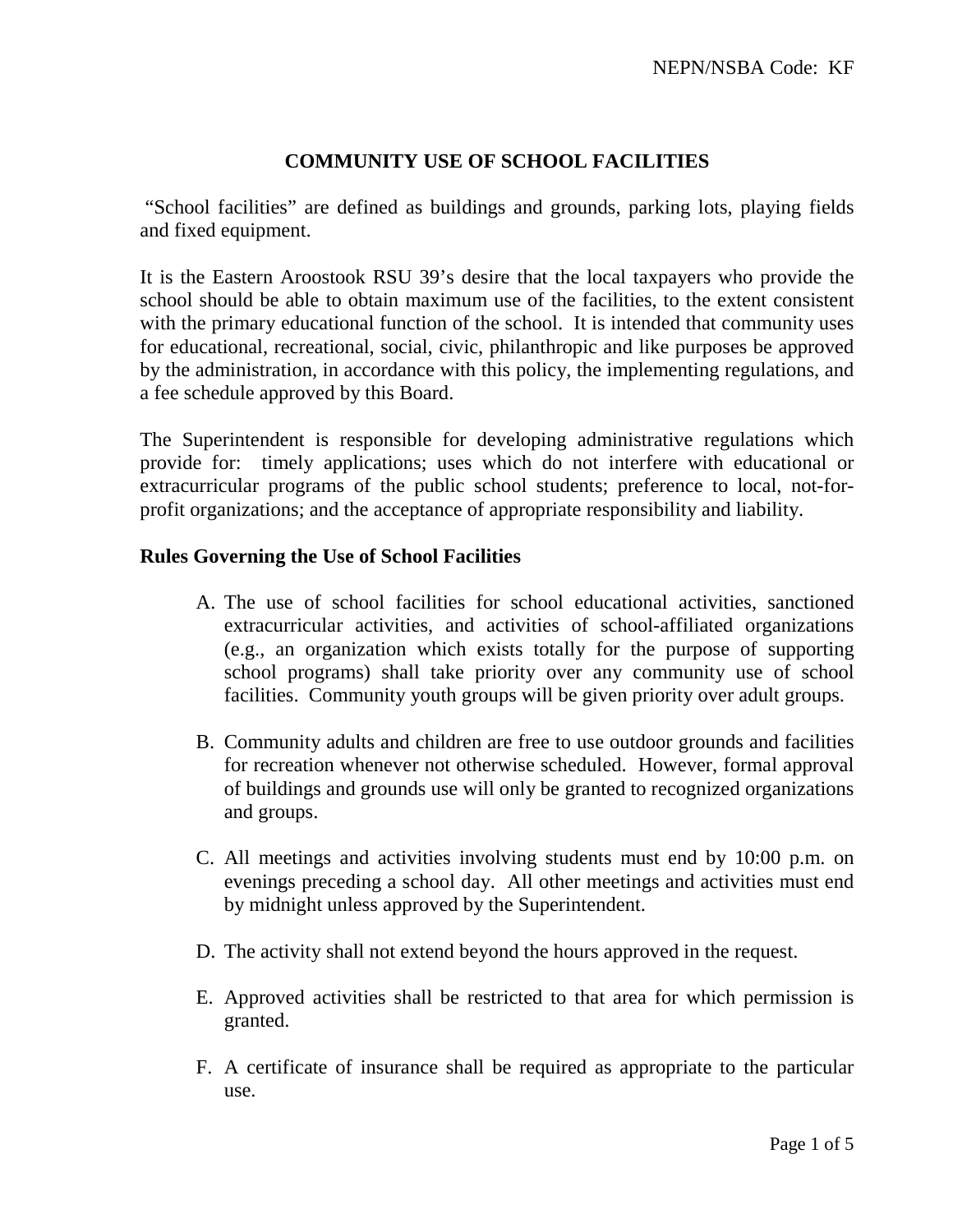## **COMMUNITY USE OF SCHOOL FACILITIES**

"School facilities" are defined as buildings and grounds, parking lots, playing fields and fixed equipment.

It is the Eastern Aroostook RSU 39's desire that the local taxpayers who provide the school should be able to obtain maximum use of the facilities, to the extent consistent with the primary educational function of the school. It is intended that community uses for educational, recreational, social, civic, philanthropic and like purposes be approved by the administration, in accordance with this policy, the implementing regulations, and a fee schedule approved by this Board.

The Superintendent is responsible for developing administrative regulations which provide for: timely applications; uses which do not interfere with educational or extracurricular programs of the public school students; preference to local, not-forprofit organizations; and the acceptance of appropriate responsibility and liability.

#### **Rules Governing the Use of School Facilities**

- A. The use of school facilities for school educational activities, sanctioned extracurricular activities, and activities of school-affiliated organizations (e.g., an organization which exists totally for the purpose of supporting school programs) shall take priority over any community use of school facilities. Community youth groups will be given priority over adult groups.
- B. Community adults and children are free to use outdoor grounds and facilities for recreation whenever not otherwise scheduled. However, formal approval of buildings and grounds use will only be granted to recognized organizations and groups.
- C. All meetings and activities involving students must end by 10:00 p.m. on evenings preceding a school day. All other meetings and activities must end by midnight unless approved by the Superintendent.
- D. The activity shall not extend beyond the hours approved in the request.
- E. Approved activities shall be restricted to that area for which permission is granted.
- F. A certificate of insurance shall be required as appropriate to the particular use.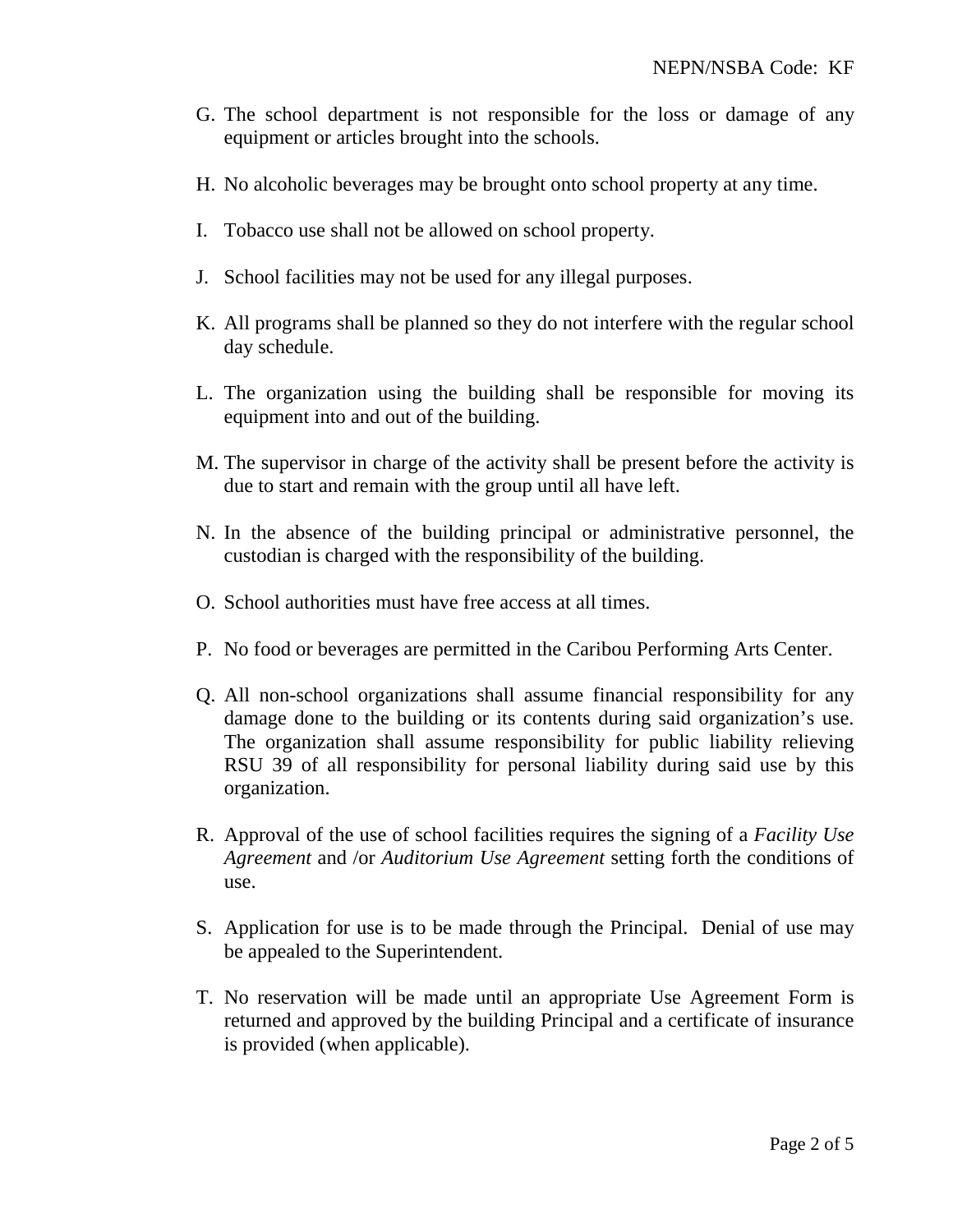- G. The school department is not responsible for the loss or damage of any equipment or articles brought into the schools.
- H. No alcoholic beverages may be brought onto school property at any time.
- I. Tobacco use shall not be allowed on school property.
- J. School facilities may not be used for any illegal purposes.
- K. All programs shall be planned so they do not interfere with the regular school day schedule.
- L. The organization using the building shall be responsible for moving its equipment into and out of the building.
- M. The supervisor in charge of the activity shall be present before the activity is due to start and remain with the group until all have left.
- N. In the absence of the building principal or administrative personnel, the custodian is charged with the responsibility of the building.
- O. School authorities must have free access at all times.
- P. No food or beverages are permitted in the Caribou Performing Arts Center.
- Q. All non-school organizations shall assume financial responsibility for any damage done to the building or its contents during said organization's use. The organization shall assume responsibility for public liability relieving RSU 39 of all responsibility for personal liability during said use by this organization.
- R. Approval of the use of school facilities requires the signing of a *Facility Use Agreement* and /or *Auditorium Use Agreement* setting forth the conditions of use.
- S. Application for use is to be made through the Principal. Denial of use may be appealed to the Superintendent.
- T. No reservation will be made until an appropriate Use Agreement Form is returned and approved by the building Principal and a certificate of insurance is provided (when applicable).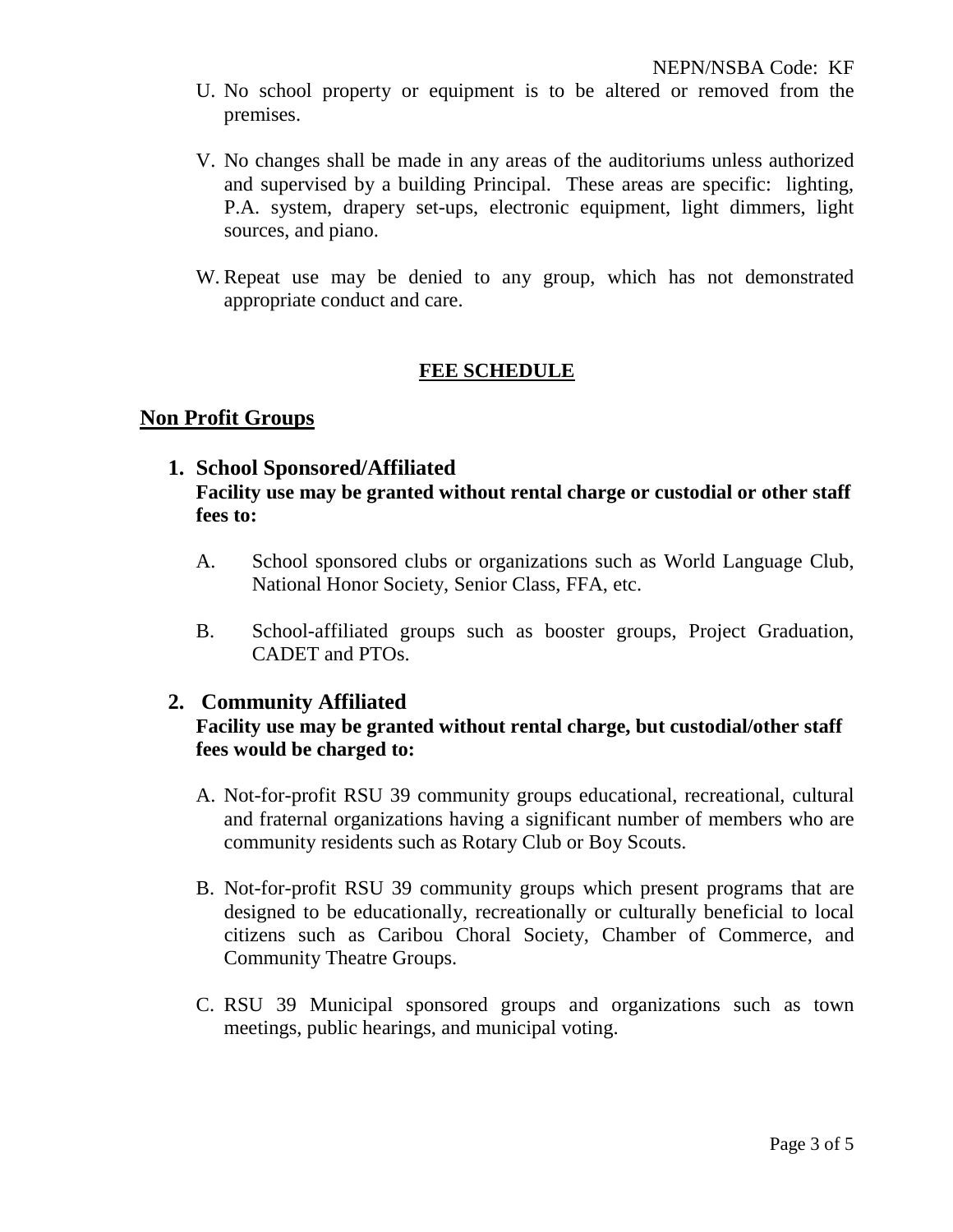- U. No school property or equipment is to be altered or removed from the premises.
- V. No changes shall be made in any areas of the auditoriums unless authorized and supervised by a building Principal. These areas are specific: lighting, P.A. system, drapery set-ups, electronic equipment, light dimmers, light sources, and piano.
- W. Repeat use may be denied to any group, which has not demonstrated appropriate conduct and care.

# **FEE SCHEDULE**

### **Non Profit Groups**

# **1. School Sponsored/Affiliated Facility use may be granted without rental charge or custodial or other staff fees to:**

- A. School sponsored clubs or organizations such as World Language Club, National Honor Society, Senior Class, FFA, etc.
- B. School-affiliated groups such as booster groups, Project Graduation, CADET and PTOs.

### **2. Community Affiliated**

## **Facility use may be granted without rental charge, but custodial/other staff fees would be charged to:**

- A. Not-for-profit RSU 39 community groups educational, recreational, cultural and fraternal organizations having a significant number of members who are community residents such as Rotary Club or Boy Scouts.
- B. Not-for-profit RSU 39 community groups which present programs that are designed to be educationally, recreationally or culturally beneficial to local citizens such as Caribou Choral Society, Chamber of Commerce, and Community Theatre Groups.
- C. RSU 39 Municipal sponsored groups and organizations such as town meetings, public hearings, and municipal voting.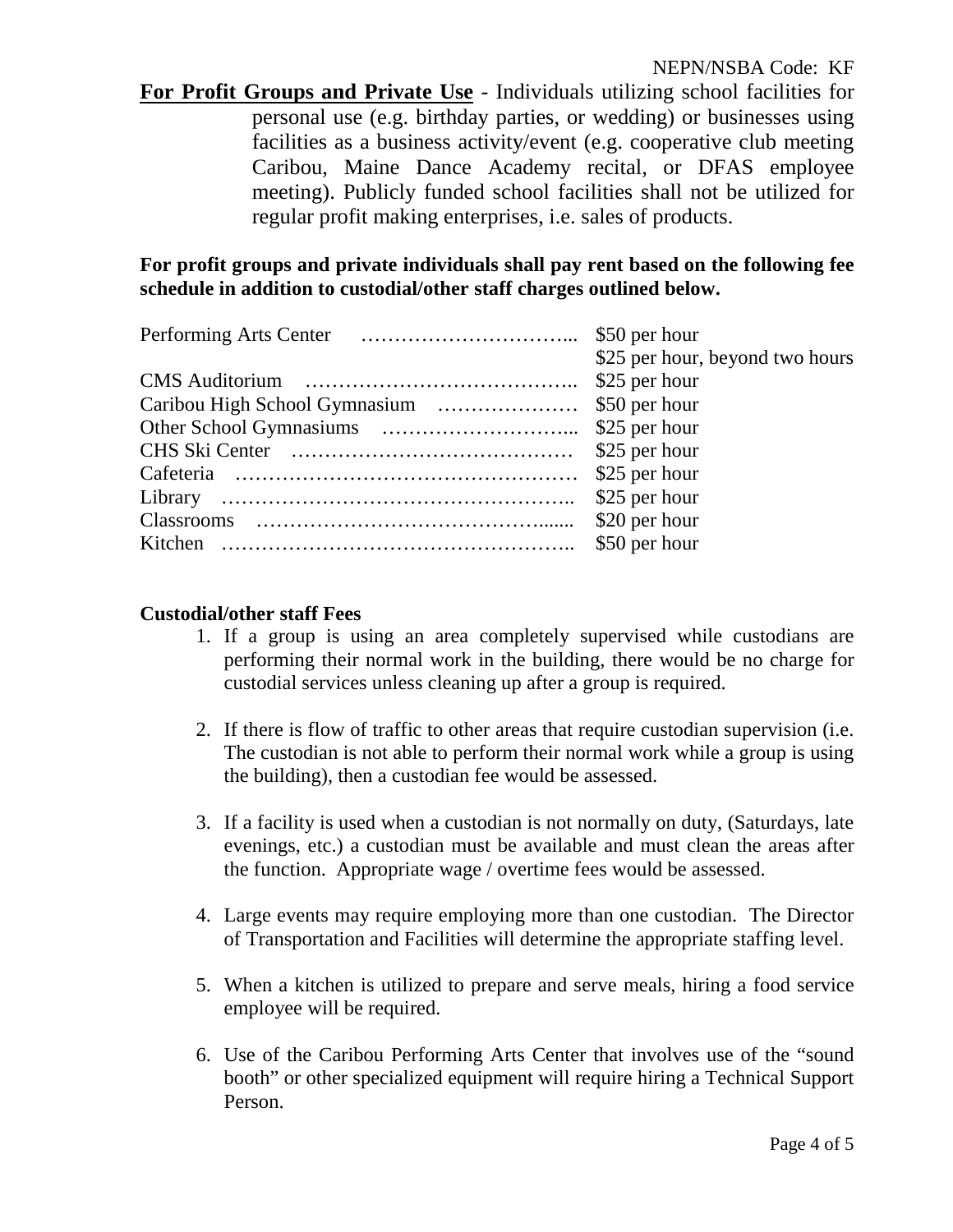**For Profit Groups and Private Use** - Individuals utilizing school facilities for personal use (e.g. birthday parties, or wedding) or businesses using facilities as a business activity/event (e.g. cooperative club meeting Caribou, Maine Dance Academy recital, or DFAS employee meeting). Publicly funded school facilities shall not be utilized for regular profit making enterprises, i.e. sales of products.

**For profit groups and private individuals shall pay rent based on the following fee schedule in addition to custodial/other staff charges outlined below.**

| \$25 per hour, beyond two hours |
|---------------------------------|
| \$25 per hour                   |
|                                 |
|                                 |
| \$25 per hour                   |
| \$25 per hour                   |
| \$25 per hour                   |
| \$20 per hour                   |
| \$50 per hour                   |
|                                 |

### **Custodial/other staff Fees**

- 1. If a group is using an area completely supervised while custodians are performing their normal work in the building, there would be no charge for custodial services unless cleaning up after a group is required.
- 2. If there is flow of traffic to other areas that require custodian supervision (i.e. The custodian is not able to perform their normal work while a group is using the building), then a custodian fee would be assessed.
- 3. If a facility is used when a custodian is not normally on duty, (Saturdays, late evenings, etc.) a custodian must be available and must clean the areas after the function. Appropriate wage / overtime fees would be assessed.
- 4. Large events may require employing more than one custodian. The Director of Transportation and Facilities will determine the appropriate staffing level.
- 5. When a kitchen is utilized to prepare and serve meals, hiring a food service employee will be required.
- 6. Use of the Caribou Performing Arts Center that involves use of the "sound booth" or other specialized equipment will require hiring a Technical Support Person.